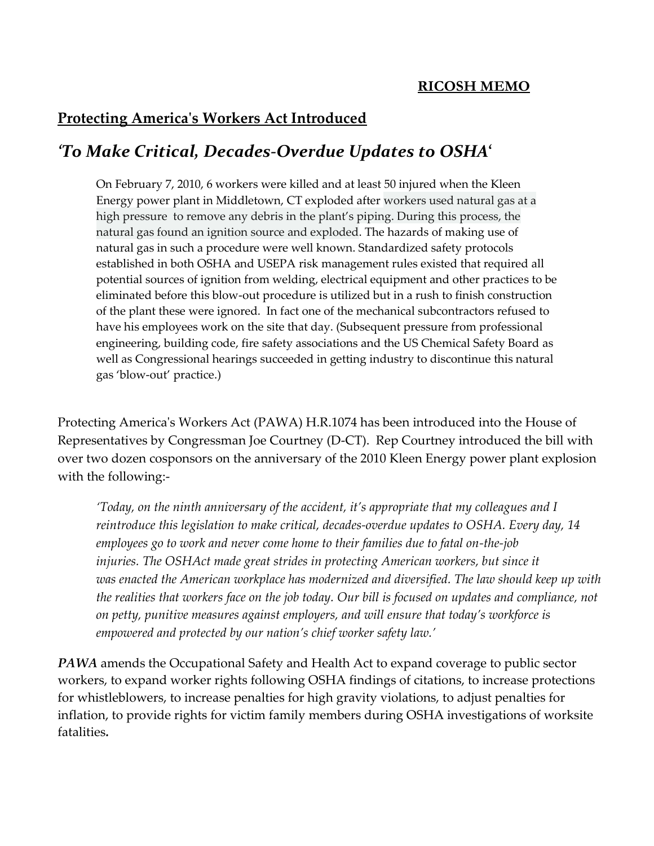## **Protecting America's Workers Act Introduced**

## *'To Make Critical, Decades-Overdue Updates to OSHA***'**

On February 7, 2010, 6 workers were killed and at least 50 injured when the Kleen Energy power plant in Middletown, CT exploded after workers used natural gas at a high pressure to remove any debris in the plant's piping. During this process, the natural gas found an ignition source and exploded. The hazards of making use of natural gas in such a procedure were well known. Standardized safety protocols established in both OSHA and USEPA risk management rules existed that required all potential sources of ignition from welding, electrical equipment and other practices to be eliminated before this blow-out procedure is utilized but in a rush to finish construction of the plant these were ignored. In fact one of the mechanical subcontractors refused to have his employees work on the site that day. (Subsequent pressure from professional engineering, building code, fire safety associations and the US Chemical Safety Board as well as Congressional hearings succeeded in getting industry to discontinue this natural gas 'blow-out' practice.)

Protecting America's Workers Act (PAWA) H.R.1074 has been introduced into the House of Representatives by Congressman Joe Courtney (D-CT). Rep Courtney introduced the bill with over two dozen cosponsors on the anniversary of the 2010 [Kleen Energy](http://jordanbarab.com/confinedspace/2019/02/07/imperial-sugar-kleen-energy/) power plant explosion with the following:-

*'Today, on the ninth anniversary of the accident, it's appropriate that my colleagues and I reintroduce this legislation to make critical, decades-overdue updates to OSHA. Every day, 14 employees go to work and never come home to their families due to fatal on-the-job injuries. The OSHAct made great strides in protecting American workers, but since it was enacted the American workplace has modernized and diversified. The law should keep up with the realities that workers face on the job today. Our bill is focused on updates and compliance, not on petty, punitive measures against employers, and will ensure that today's workforce is empowered and protected by our nation's chief worker safety law.'*

**PAWA** amends the Occupational Safety and Health Act to expand coverage to public sector workers, to expand worker rights following OSHA findings of citations, to increase protections for whistleblowers, to increase penalties for high gravity violations, to adjust penalties for inflation, to provide rights for victim family members during OSHA investigations of worksite fatalities*.*